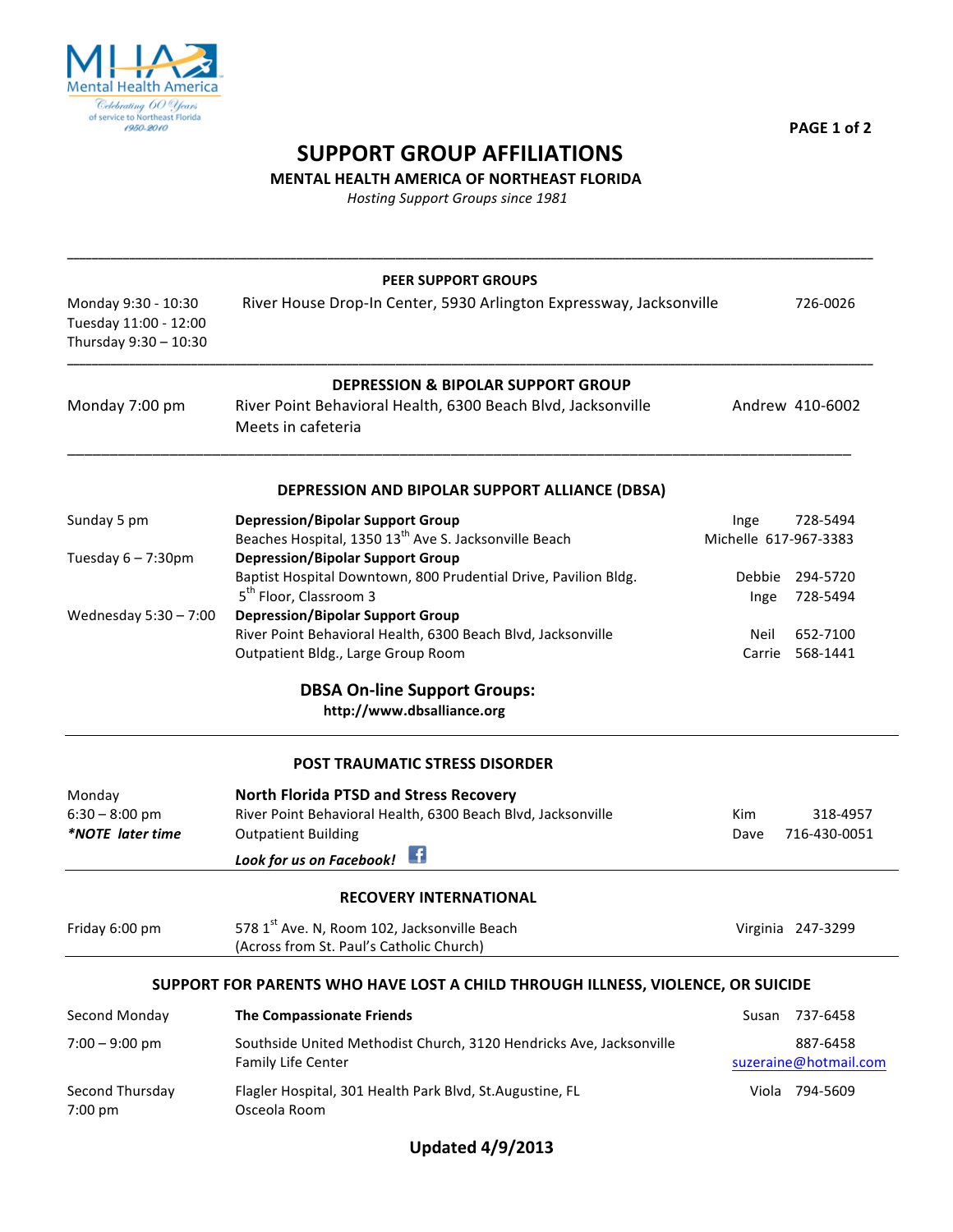

**PAGE 1 of 2** 

## **SUPPORT GROUP AFFILIATIONS**

**MENTAL HEALTH AMERICA OF NORTHEAST FLORIDA** 

*Hosting Support Groups since 1981*

|                                                                       | <b>PEER SUPPORT GROUPS</b>                                                                                 |                                        |
|-----------------------------------------------------------------------|------------------------------------------------------------------------------------------------------------|----------------------------------------|
| Monday 9:30 - 10:30<br>Tuesday 11:00 - 12:00<br>Thursday 9:30 - 10:30 | River House Drop-In Center, 5930 Arlington Expressway, Jacksonville                                        | 726-0026                               |
|                                                                       | <b>DEPRESSION &amp; BIPOLAR SUPPORT GROUP</b>                                                              |                                        |
| Monday 7:00 pm                                                        | River Point Behavioral Health, 6300 Beach Blvd, Jacksonville<br>Meets in cafeteria                         | Andrew 410-6002                        |
|                                                                       | DEPRESSION AND BIPOLAR SUPPORT ALLIANCE (DBSA)                                                             |                                        |
| Sunday 5 pm                                                           | <b>Depression/Bipolar Support Group</b>                                                                    | 728-5494<br>Inge                       |
|                                                                       | Beaches Hospital, 1350 13 <sup>th</sup> Ave S. Jacksonville Beach                                          | Michelle 617-967-3383                  |
| Tuesday $6 - 7:30$ pm                                                 | <b>Depression/Bipolar Support Group</b><br>Baptist Hospital Downtown, 800 Prudential Drive, Pavilion Bldg. |                                        |
|                                                                       | 5 <sup>th</sup> Floor, Classroom 3                                                                         | 294-5720<br>Debbie<br>728-5494<br>Inge |
| Wednesday 5:30 - 7:00                                                 | <b>Depression/Bipolar Support Group</b>                                                                    |                                        |
|                                                                       | River Point Behavioral Health, 6300 Beach Blvd, Jacksonville                                               | 652-7100<br>Neil                       |
|                                                                       | Outpatient Bldg., Large Group Room                                                                         | Carrie 568-1441                        |
|                                                                       | <b>DBSA On-line Support Groups:</b>                                                                        |                                        |
|                                                                       | http://www.dbsalliance.org                                                                                 |                                        |
|                                                                       | <b>POST TRAUMATIC STRESS DISORDER</b>                                                                      |                                        |
| Monday                                                                | <b>North Florida PTSD and Stress Recovery</b>                                                              |                                        |
| $6:30 - 8:00$ pm                                                      | River Point Behavioral Health, 6300 Beach Blvd, Jacksonville                                               | Kim<br>318-4957                        |
| *NOTE later time                                                      | <b>Outpatient Building</b>                                                                                 | 716-430-0051<br>Dave                   |
|                                                                       | $\mathbf{f}$<br>Look for us on Facebook!                                                                   |                                        |
|                                                                       | <b>RECOVERY INTERNATIONAL</b>                                                                              |                                        |
| Friday 6:00 pm                                                        | 578 1st Ave. N, Room 102, Jacksonville Beach<br>(Across from St. Paul's Catholic Church)                   | Virginia 247-3299                      |
|                                                                       | SUPPORT FOR PARENTS WHO HAVE LOST A CHILD THROUGH ILLNESS, VIOLENCE, OR SUICIDE                            |                                        |
| Second Monday                                                         | <b>The Compassionate Friends</b>                                                                           | 737-6458<br>Susan                      |
| $7:00 - 9:00$ pm                                                      | Southside United Methodist Church, 3120 Hendricks Ave, Jacksonville                                        | 887-6458                               |
|                                                                       | Family Life Center                                                                                         | suzeraine@hotmail.com                  |
| Second Thursday<br>7:00 pm                                            | Flagler Hospital, 301 Health Park Blvd, St.Augustine, FL<br>Osceola Room                                   | Viola 794-5609                         |
|                                                                       |                                                                                                            |                                        |

**Updated 4/9/2013**